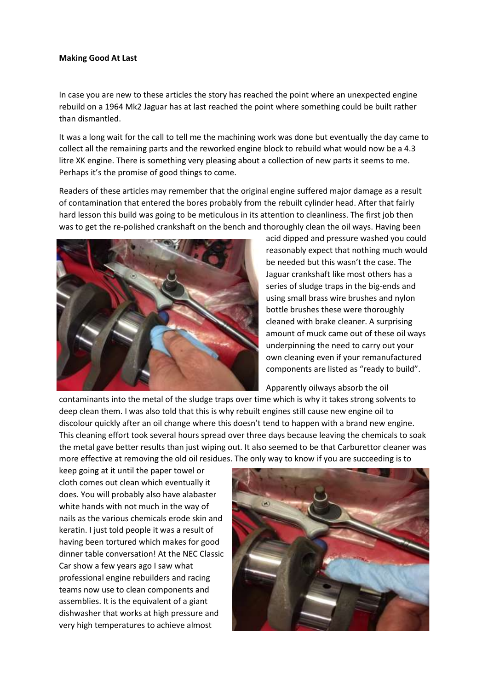## **Making Good At Last**

In case you are new to these articles the story has reached the point where an unexpected engine rebuild on a 1964 Mk2 Jaguar has at last reached the point where something could be built rather than dismantled.

It was a long wait for the call to tell me the machining work was done but eventually the day came to collect all the remaining parts and the reworked engine block to rebuild what would now be a 4.3 litre XK engine. There is something very pleasing about a collection of new parts it seems to me. Perhaps it's the promise of good things to come.

Readers of these articles may remember that the original engine suffered major damage as a result of contamination that entered the bores probably from the rebuilt cylinder head. After that fairly hard lesson this build was going to be meticulous in its attention to cleanliness. The first job then was to get the re-polished crankshaft on the bench and thoroughly clean the oil ways. Having been



acid dipped and pressure washed you could reasonably expect that nothing much would be needed but this wasn't the case. The Jaguar crankshaft like most others has a series of sludge traps in the big-ends and using small brass wire brushes and nylon bottle brushes these were thoroughly cleaned with brake cleaner. A surprising amount of muck came out of these oil ways underpinning the need to carry out your own cleaning even if your remanufactured components are listed as "ready to build".

Apparently oilways absorb the oil

contaminants into the metal of the sludge traps over time which is why it takes strong solvents to deep clean them. I was also told that this is why rebuilt engines still cause new engine oil to discolour quickly after an oil change where this doesn't tend to happen with a brand new engine. This cleaning effort took several hours spread over three days because leaving the chemicals to soak the metal gave better results than just wiping out. It also seemed to be that Carburettor cleaner was more effective at removing the old oil residues. The only way to know if you are succeeding is to

keep going at it until the paper towel or cloth comes out clean which eventually it does. You will probably also have alabaster white hands with not much in the way of nails as the various chemicals erode skin and keratin. I just told people it was a result of having been tortured which makes for good dinner table conversation! At the NEC Classic Car show a few years ago I saw what professional engine rebuilders and racing teams now use to clean components and assemblies. It is the equivalent of a giant dishwasher that works at high pressure and very high temperatures to achieve almost

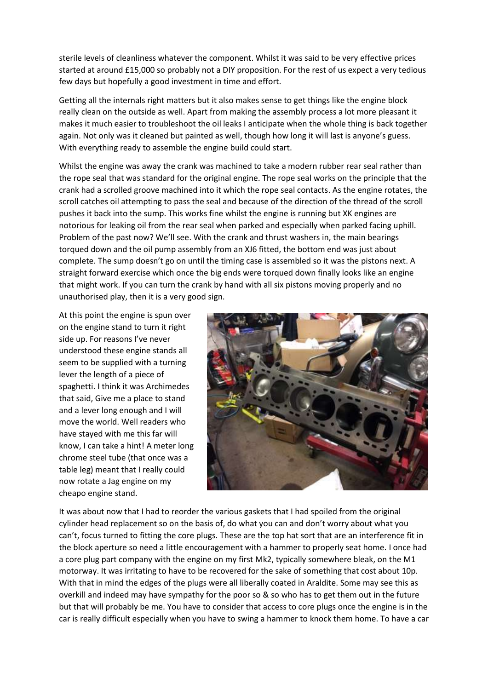sterile levels of cleanliness whatever the component. Whilst it was said to be very effective prices started at around £15,000 so probably not a DIY proposition. For the rest of us expect a very tedious few days but hopefully a good investment in time and effort.

Getting all the internals right matters but it also makes sense to get things like the engine block really clean on the outside as well. Apart from making the assembly process a lot more pleasant it makes it much easier to troubleshoot the oil leaks I anticipate when the whole thing is back together again. Not only was it cleaned but painted as well, though how long it will last is anyone's guess. With everything ready to assemble the engine build could start.

Whilst the engine was away the crank was machined to take a modern rubber rear seal rather than the rope seal that was standard for the original engine. The rope seal works on the principle that the crank had a scrolled groove machined into it which the rope seal contacts. As the engine rotates, the scroll catches oil attempting to pass the seal and because of the direction of the thread of the scroll pushes it back into the sump. This works fine whilst the engine is running but XK engines are notorious for leaking oil from the rear seal when parked and especially when parked facing uphill. Problem of the past now? We'll see. With the crank and thrust washers in, the main bearings torqued down and the oil pump assembly from an XJ6 fitted, the bottom end was just about complete. The sump doesn't go on until the timing case is assembled so it was the pistons next. A straight forward exercise which once the big ends were torqued down finally looks like an engine that might work. If you can turn the crank by hand with all six pistons moving properly and no unauthorised play, then it is a very good sign.

At this point the engine is spun over on the engine stand to turn it right side up. For reasons I've never understood these engine stands all seem to be supplied with a turning lever the length of a piece of spaghetti. I think it was Archimedes that said, Give me a place to stand and a lever long enough and I will move the world. Well readers who have stayed with me this far will know, I can take a hint! A meter long chrome steel tube (that once was a table leg) meant that I really could now rotate a Jag engine on my cheapo engine stand.



It was about now that I had to reorder the various gaskets that I had spoiled from the original cylinder head replacement so on the basis of, do what you can and don't worry about what you can't, focus turned to fitting the core plugs. These are the top hat sort that are an interference fit in the block aperture so need a little encouragement with a hammer to properly seat home. I once had a core plug part company with the engine on my first Mk2, typically somewhere bleak, on the M1 motorway. It was irritating to have to be recovered for the sake of something that cost about 10p. With that in mind the edges of the plugs were all liberally coated in Araldite. Some may see this as overkill and indeed may have sympathy for the poor so & so who has to get them out in the future but that will probably be me. You have to consider that access to core plugs once the engine is in the car is really difficult especially when you have to swing a hammer to knock them home. To have a car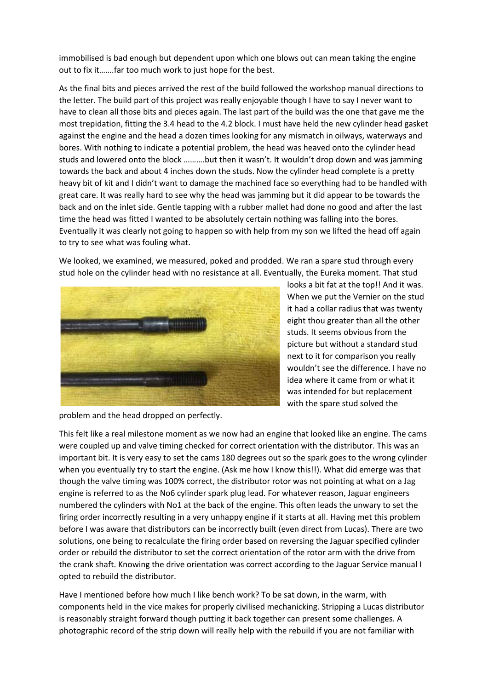immobilised is bad enough but dependent upon which one blows out can mean taking the engine out to fix it…….far too much work to just hope for the best.

As the final bits and pieces arrived the rest of the build followed the workshop manual directions to the letter. The build part of this project was really enjoyable though I have to say I never want to have to clean all those bits and pieces again. The last part of the build was the one that gave me the most trepidation, fitting the 3.4 head to the 4.2 block. I must have held the new cylinder head gasket against the engine and the head a dozen times looking for any mismatch in oilways, waterways and bores. With nothing to indicate a potential problem, the head was heaved onto the cylinder head studs and lowered onto the block ..........but then it wasn't. It wouldn't drop down and was jamming towards the back and about 4 inches down the studs. Now the cylinder head complete is a pretty heavy bit of kit and I didn't want to damage the machined face so everything had to be handled with great care. It was really hard to see why the head was jamming but it did appear to be towards the back and on the inlet side. Gentle tapping with a rubber mallet had done no good and after the last time the head was fitted I wanted to be absolutely certain nothing was falling into the bores. Eventually it was clearly not going to happen so with help from my son we lifted the head off again to try to see what was fouling what.

We looked, we examined, we measured, poked and prodded. We ran a spare stud through every stud hole on the cylinder head with no resistance at all. Eventually, the Eureka moment. That stud



looks a bit fat at the top!! And it was. When we put the Vernier on the stud it had a collar radius that was twenty eight thou greater than all the other studs. It seems obvious from the picture but without a standard stud next to it for comparison you really wouldn't see the difference. I have no idea where it came from or what it was intended for but replacement with the spare stud solved the

problem and the head dropped on perfectly.

This felt like a real milestone moment as we now had an engine that looked like an engine. The cams were coupled up and valve timing checked for correct orientation with the distributor. This was an important bit. It is very easy to set the cams 180 degrees out so the spark goes to the wrong cylinder when you eventually try to start the engine. (Ask me how I know this!!). What did emerge was that though the valve timing was 100% correct, the distributor rotor was not pointing at what on a Jag engine is referred to as the No6 cylinder spark plug lead. For whatever reason, Jaguar engineers numbered the cylinders with No1 at the back of the engine. This often leads the unwary to set the firing order incorrectly resulting in a very unhappy engine if it starts at all. Having met this problem before I was aware that distributors can be incorrectly built (even direct from Lucas). There are two solutions, one being to recalculate the firing order based on reversing the Jaguar specified cylinder order or rebuild the distributor to set the correct orientation of the rotor arm with the drive from the crank shaft. Knowing the drive orientation was correct according to the Jaguar Service manual I opted to rebuild the distributor.

Have I mentioned before how much I like bench work? To be sat down, in the warm, with components held in the vice makes for properly civilised mechanicking. Stripping a Lucas distributor is reasonably straight forward though putting it back together can present some challenges. A photographic record of the strip down will really help with the rebuild if you are not familiar with